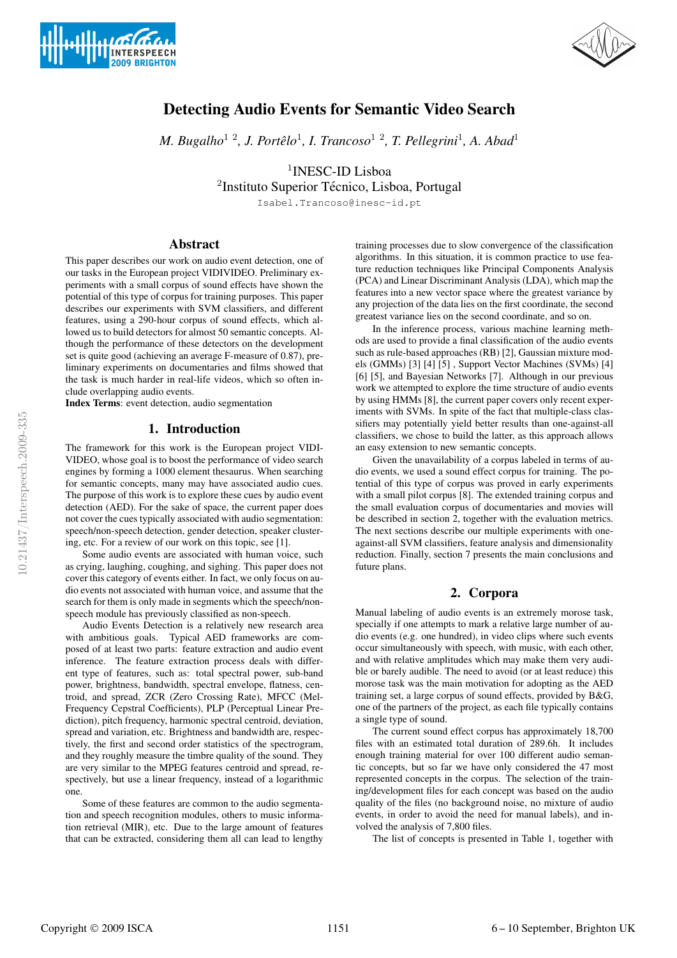



# Detecting Audio Events for Semantic Video Search

*M. Bugalho*1 2*, J. Portelo ˆ* 1 *, I. Trancoso*1 2*, T. Pellegrini*<sup>1</sup> *, A. Abad*<sup>1</sup>

<sup>1</sup>INESC-ID Lisboa

<sup>2</sup>Instituto Superior Técnico, Lisboa, Portugal

Isabel.Trancoso@inesc-id.pt

# Abstract

This paper describes our work on audio event detection, one of our tasks in the European project VIDIVIDEO. Preliminary experiments with a small corpus of sound effects have shown the potential of this type of corpus for training purposes. This paper describes our experiments with SVM classifiers, and different features, using a 290-hour corpus of sound effects, which allowed us to build detectors for almost 50 semantic concepts. Although the performance of these detectors on the development set is quite good (achieving an average F-measure of 0.87), preliminary experiments on documentaries and films showed that the task is much harder in real-life videos, which so often include overlapping audio events.

Index Terms: event detection, audio segmentation

## 1. Introduction

The framework for this work is the European project VIDI-VIDEO, whose goal is to boost the performance of video search engines by forming a 1000 element thesaurus. When searching for semantic concepts, many may have associated audio cues. The purpose of this work is to explore these cues by audio event detection (AED). For the sake of space, the current paper does not cover the cues typically associated with audio segmentation: speech/non-speech detection, gender detection, speaker clustering, etc. For a review of our work on this topic, see [1].

Some audio events are associated with human voice, such as crying, laughing, coughing, and sighing. This paper does not cover this category of events either. In fact, we only focus on audio events not associated with human voice, and assume that the search for them is only made in segments which the speech/nonspeech module has previously classified as non-speech.

Audio Events Detection is a relatively new research area with ambitious goals. Typical AED frameworks are composed of at least two parts: feature extraction and audio event inference. The feature extraction process deals with different type of features, such as: total spectral power, sub-band power, brightness, bandwidth, spectral envelope, flatness, centroid, and spread, ZCR (Zero Crossing Rate), MFCC (Mel-Frequency Cepstral Coefficients), PLP (Perceptual Linear Prediction), pitch frequency, harmonic spectral centroid, deviation, spread and variation, etc. Brightness and bandwidth are, respectively, the first and second order statistics of the spectrogram, and they roughly measure the timbre quality of the sound. They are very similar to the MPEG features centroid and spread, respectively, but use a linear frequency, instead of a logarithmic one.

Some of these features are common to the audio segmentation and speech recognition modules, others to music information retrieval (MIR), etc. Due to the large amount of features that can be extracted, considering them all can lead to lengthy training processes due to slow convergence of the classification algorithms. In this situation, it is common practice to use feature reduction techniques like Principal Components Analysis (PCA) and Linear Discriminant Analysis (LDA), which map the features into a new vector space where the greatest variance by any projection of the data lies on the first coordinate, the second greatest variance lies on the second coordinate, and so on.

In the inference process, various machine learning methods are used to provide a final classification of the audio events such as rule-based approaches (RB) [2], Gaussian mixture models (GMMs) [3] [4] [5] , Support Vector Machines (SVMs) [4] [6] [5], and Bayesian Networks [7]. Although in our previous work we attempted to explore the time structure of audio events by using HMMs [8], the current paper covers only recent experiments with SVMs. In spite of the fact that multiple-class classifiers may potentially yield better results than one-against-all classifiers, we chose to build the latter, as this approach allows an easy extension to new semantic concepts.

Given the unavailability of a corpus labeled in terms of audio events, we used a sound effect corpus for training. The potential of this type of corpus was proved in early experiments with a small pilot corpus [8]. The extended training corpus and the small evaluation corpus of documentaries and movies will be described in section 2, together with the evaluation metrics. The next sections describe our multiple experiments with oneagainst-all SVM classifiers, feature analysis and dimensionality reduction. Finally, section 7 presents the main conclusions and future plans.

# 2. Corpora

Manual labeling of audio events is an extremely morose task, specially if one attempts to mark a relative large number of audio events (e.g. one hundred), in video clips where such events occur simultaneously with speech, with music, with each other, and with relative amplitudes which may make them very audible or barely audible. The need to avoid (or at least reduce) this morose task was the main motivation for adopting as the AED training set, a large corpus of sound effects, provided by B&G, one of the partners of the project, as each file typically contains a single type of sound.

The current sound effect corpus has approximately 18,700 files with an estimated total duration of 289.6h. It includes enough training material for over 100 different audio semantic concepts, but so far we have only considered the 47 most represented concepts in the corpus. The selection of the training/development files for each concept was based on the audio quality of the files (no background noise, no mixture of audio events, in order to avoid the need for manual labels), and involved the analysis of 7,800 files.

The list of concepts is presented in Table 1, together with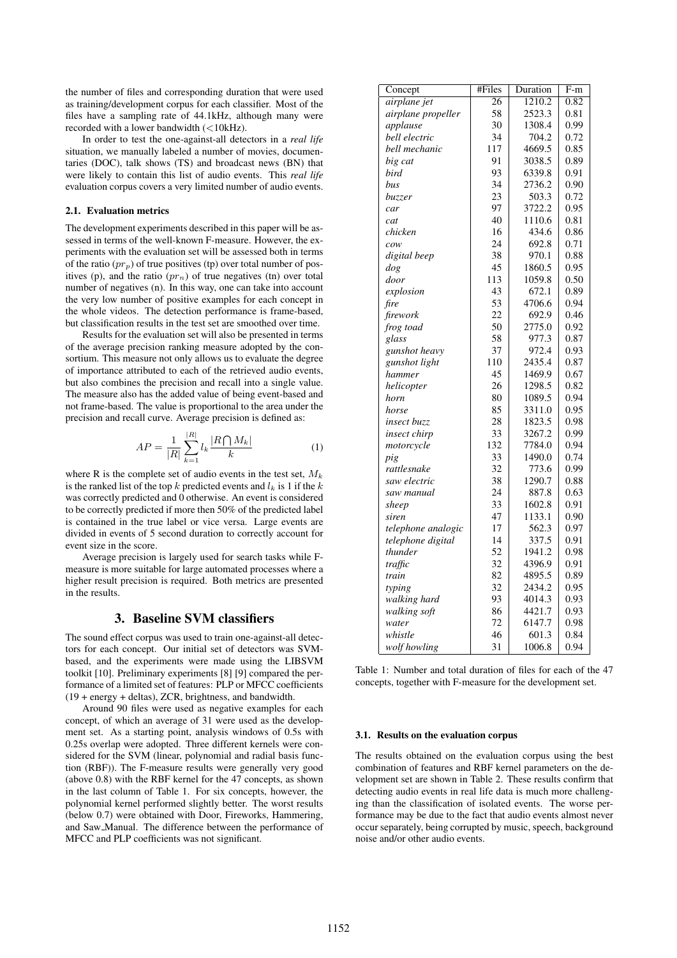the number of files and corresponding duration that were used as training/development corpus for each classifier. Most of the files have a sampling rate of 44.1kHz, although many were recorded with a lower bandwidth (<10kHz).

In order to test the one-against-all detectors in a *real life* situation, we manually labeled a number of movies, documentaries (DOC), talk shows (TS) and broadcast news (BN) that were likely to contain this list of audio events. This *real life* evaluation corpus covers a very limited number of audio events.

#### 2.1. Evaluation metrics

The development experiments described in this paper will be assessed in terms of the well-known F-measure. However, the experiments with the evaluation set will be assessed both in terms of the ratio  $(pr_p)$  of true positives (tp) over total number of positives (p), and the ratio  $(pr_n)$  of true negatives (tn) over total number of negatives (n). In this way, one can take into account the very low number of positive examples for each concept in the whole videos. The detection performance is frame-based, but classification results in the test set are smoothed over time.

Results for the evaluation set will also be presented in terms of the average precision ranking measure adopted by the consortium. This measure not only allows us to evaluate the degree of importance attributed to each of the retrieved audio events, but also combines the precision and recall into a single value. The measure also has the added value of being event-based and not frame-based. The value is proportional to the area under the precision and recall curve. Average precision is defined as:

$$
AP = \frac{1}{|R|} \sum_{k=1}^{|R|} l_k \frac{|R \bigcap M_k|}{k} \tag{1}
$$

where R is the complete set of audio events in the test set,  $M_k$ is the ranked list of the top  $k$  predicted events and  $l_k$  is 1 if the  $k$ was correctly predicted and 0 otherwise. An event is considered to be correctly predicted if more then 50% of the predicted label is contained in the true label or vice versa. Large events are divided in events of 5 second duration to correctly account for event size in the score.

Average precision is largely used for search tasks while Fmeasure is more suitable for large automated processes where a higher result precision is required. Both metrics are presented in the results.

# 3. Baseline SVM classifiers

The sound effect corpus was used to train one-against-all detectors for each concept. Our initial set of detectors was SVMbased, and the experiments were made using the LIBSVM toolkit [10]. Preliminary experiments [8] [9] compared the performance of a limited set of features: PLP or MFCC coefficients (19 + energy + deltas), ZCR, brightness, and bandwidth.

Around 90 files were used as negative examples for each concept, of which an average of 31 were used as the development set. As a starting point, analysis windows of 0.5s with 0.25s overlap were adopted. Three different kernels were considered for the SVM (linear, polynomial and radial basis function (RBF)). The F-measure results were generally very good (above 0.8) with the RBF kernel for the 47 concepts, as shown in the last column of Table 1. For six concepts, however, the polynomial kernel performed slightly better. The worst results (below 0.7) were obtained with Door, Fireworks, Hammering, and Saw Manual. The difference between the performance of MFCC and PLP coefficients was not significant.

| Concept             | #Files          | Duration | $F-m$ |
|---------------------|-----------------|----------|-------|
| airplane jet        | $\overline{26}$ | 1210.2   | 0.82  |
| airplane propeller  | 58              | 2523.3   | 0.81  |
| applause            | 30              | 1308.4   | 0.99  |
| bell electric       | 34              | 704.2    | 0.72  |
| bell mechanic       | 117             | 4669.5   | 0.85  |
| big cat             | 91              | 3038.5   | 0.89  |
| bird                | 93              | 6339.8   | 0.91  |
| bus                 | 34              | 2736.2   | 0.90  |
| <i>buzzer</i>       | 23              | 503.3    | 0.72  |
| car                 | 97              | 3722.2   | 0.95  |
| cat                 | 40              | 1110.6   | 0.81  |
| chicken             | 16              | 434.6    | 0.86  |
| $\overline{cow}$    | 24              | 692.8    | 0.71  |
| digital beep        | 38              | 970.1    | 0.88  |
| dog                 | 45              | 1860.5   | 0.95  |
| door                | 113             | 1059.8   | 0.50  |
| explosion           | 43              | 672.1    | 0.89  |
| fire                | 53              | 4706.6   | 0.94  |
| firework            | 22              | 692.9    | 0.46  |
| frog toad           | 50              | 2775.0   | 0.92  |
| glass               | 58              | 977.3    | 0.87  |
| gunshot heavy       | 37              | 972.4    | 0.93  |
| gunshot light       | 110             | 2435.4   | 0.87  |
| hammer              | 45              | 1469.9   | 0.67  |
| helicopter          | 26              | 1298.5   | 0.82  |
| horn                | 80              | 1089.5   | 0.94  |
| horse               | 85              | 3311.0   | 0.95  |
| insect buzz         | 28              | 1823.5   | 0.98  |
| <i>insect chirp</i> | 33              | 3267.2   | 0.99  |
| motorcycle          | 132             | 7784.0   | 0.94  |
| pig                 | 33              | 1490.0   | 0.74  |
| rattlesnake         | 32              | 773.6    | 0.99  |
| saw electric        | 38              | 1290.7   | 0.88  |
| saw manual          | 24              | 887.8    | 0.63  |
| sheep               | 33              | 1602.8   | 0.91  |
| siren               | 47              | 1133.1   | 0.90  |
| telephone analogic  | 17              | 562.3    | 0.97  |
| telephone digital   | 14              | 337.5    | 0.91  |
| thunder             | 52              | 1941.2   | 0.98  |
| traffic             | 32              | 4396.9   | 0.91  |
| train               | 82              | 4895.5   | 0.89  |
| typing              | 32              | 2434.2   | 0.95  |
| walking hard        | 93              | 4014.3   | 0.93  |
| walking soft        | 86              | 4421.7   | 0.93  |
| water               | 72              | 6147.7   | 0.98  |
| whistle             | 46              | 601.3    | 0.84  |
| wolf howling        | 31              | 1006.8   | 0.94  |

Table 1: Number and total duration of files for each of the 47 concepts, together with F-measure for the development set.

#### 3.1. Results on the evaluation corpus

The results obtained on the evaluation corpus using the best combination of features and RBF kernel parameters on the development set are shown in Table 2. These results confirm that detecting audio events in real life data is much more challenging than the classification of isolated events. The worse performance may be due to the fact that audio events almost never occur separately, being corrupted by music, speech, background noise and/or other audio events.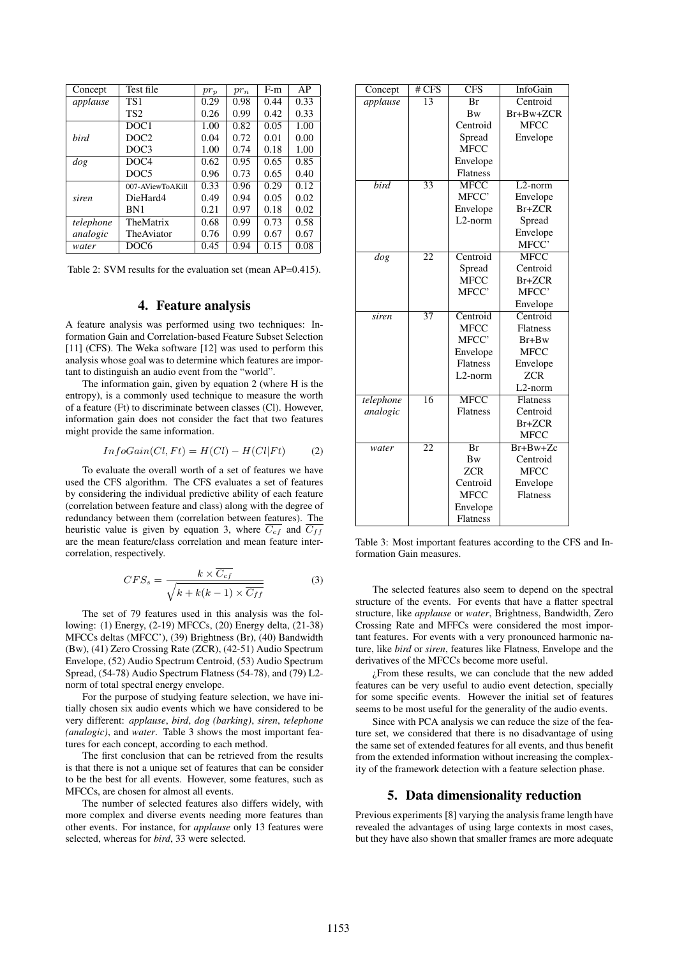| Concept     | Test file        | $pr_p$ | $pr_n$ | $F-m$ | AP   |
|-------------|------------------|--------|--------|-------|------|
| applause    | TS <sub>1</sub>  | 0.29   | 0.98   | 0.44  | 0.33 |
|             | TS <sub>2</sub>  | 0.26   | 0.99   | 0.42  | 0.33 |
|             | DOC <sub>1</sub> | 1.00   | 0.82   | 0.05  | 1.00 |
| <i>bird</i> | DOC <sub>2</sub> | 0.04   | 0.72   | 0.01  | 0.00 |
|             | DOC <sub>3</sub> | 1.00   | 0.74   | 0.18  | 1.00 |
| $\log$      | DOC <sub>4</sub> | 0.62   | 0.95   | 0.65  | 0.85 |
|             | DOC <sub>5</sub> | 0.96   | 0.73   | 0.65  | 0.40 |
|             | 007-AViewToAKill | 0.33   | 0.96   | 0.29  | 0.12 |
| siren       | DieHard4         | 0.49   | 0.94   | 0.05  | 0.02 |
|             | <b>BN1</b>       | 0.21   | 0.97   | 0.18  | 0.02 |
| telephone   | TheMatrix        | 0.68   | 0.99   | 0.73  | 0.58 |
| analogic    | The Aviator      | 0.76   | 0.99   | 0.67  | 0.67 |
| water       | DOC6             | 0.45   | 0.94   | 0.15  | 0.08 |

Table 2: SVM results for the evaluation set (mean AP=0.415).

### 4. Feature analysis

A feature analysis was performed using two techniques: Information Gain and Correlation-based Feature Subset Selection [11] (CFS). The Weka software [12] was used to perform this analysis whose goal was to determine which features are important to distinguish an audio event from the "world".

The information gain, given by equation 2 (where H is the entropy), is a commonly used technique to measure the worth of a feature (Ft) to discriminate between classes (Cl). However, information gain does not consider the fact that two features might provide the same information.

$$
InfoGain(Cl, Ft) = H(Cl) - H(Cl|Ft)
$$
 (2)

To evaluate the overall worth of a set of features we have used the CFS algorithm. The CFS evaluates a set of features by considering the individual predictive ability of each feature (correlation between feature and class) along with the degree of redundancy between them (correlation between features). The heuristic value is given by equation 3, where  $\overline{C_{cf}}$  and  $\overline{C_{ff}}$ are the mean feature/class correlation and mean feature intercorrelation, respectively.

$$
CFS_s = \frac{k \times \overline{C_{cf}}}{\sqrt{k + k(k-1) \times \overline{C_{ff}}}}
$$
(3)

The set of 79 features used in this analysis was the following: (1) Energy, (2-19) MFCCs, (20) Energy delta, (21-38) MFCCs deltas (MFCC'), (39) Brightness (Br), (40) Bandwidth (Bw), (41) Zero Crossing Rate (ZCR), (42-51) Audio Spectrum Envelope, (52) Audio Spectrum Centroid, (53) Audio Spectrum Spread, (54-78) Audio Spectrum Flatness (54-78), and (79) L2 norm of total spectral energy envelope.

For the purpose of studying feature selection, we have initially chosen six audio events which we have considered to be very different: *applause*, *bird*, *dog (barking)*, *siren*, *telephone (analogic)*, and *water*. Table 3 shows the most important features for each concept, according to each method.

The first conclusion that can be retrieved from the results is that there is not a unique set of features that can be consider to be the best for all events. However, some features, such as MFCCs, are chosen for almost all events.

The number of selected features also differs widely, with more complex and diverse events needing more features than other events. For instance, for *applause* only 13 features were selected, whereas for *bird*, 33 were selected.

| Concept   | # CFS           | <b>CFS</b>           | InfoGain        |  |
|-----------|-----------------|----------------------|-----------------|--|
| applause  | $\overline{13}$ | Br                   | Centroid        |  |
|           |                 | <b>Bw</b>            | Br+Bw+ZCR       |  |
|           |                 | Centroid             | <b>MFCC</b>     |  |
|           |                 | Spread               | Envelope        |  |
|           |                 | <b>MFCC</b>          |                 |  |
|           |                 | Envelope             |                 |  |
|           |                 | <b>Flatness</b>      |                 |  |
| bird      | 33              | <b>MFCC</b>          | $L2$ -norm      |  |
|           |                 | MFCC'                | Envelope        |  |
|           |                 | Envelope             | $Br+ZCR$        |  |
|           |                 | L <sub>2</sub> -norm | Spread          |  |
|           |                 |                      | Envelope        |  |
|           |                 |                      | MFCC'           |  |
| dog       | 22              | Centroid             | <b>MFCC</b>     |  |
|           |                 | Spread               | Centroid        |  |
|           |                 | MFCC                 | Br+ZCR          |  |
|           |                 | MFCC'                | MFCC'           |  |
|           |                 |                      | Envelope        |  |
| siren     | 37              | Centroid             | Centroid        |  |
|           |                 | <b>MFCC</b>          | <b>Flatness</b> |  |
|           |                 | MFCC'                | $Br+Bw$         |  |
|           |                 | Envelope             | <b>MFCC</b>     |  |
|           |                 | <b>Flatness</b>      | Envelope        |  |
|           |                 | L <sub>2</sub> -norm | <b>ZCR</b>      |  |
|           |                 |                      | L2-norm         |  |
| telephone | 16              | <b>MFCC</b>          | <b>Flatness</b> |  |
| analogic  |                 | <b>Flatness</b>      | Centroid        |  |
|           |                 |                      | Br+ZCR          |  |
|           |                 |                      | <b>MFCC</b>     |  |
| water     | $\overline{22}$ | Br                   | $Br+Bw+Zc$      |  |
|           |                 | <b>Bw</b>            | Centroid        |  |
|           |                 | ZCR                  | <b>MFCC</b>     |  |
|           |                 | Centroid             | Envelope        |  |
|           |                 | <b>MFCC</b>          | Flatness        |  |
|           |                 | Envelope             |                 |  |
|           |                 | Flatness             |                 |  |

Table 3: Most important features according to the CFS and Information Gain measures.

The selected features also seem to depend on the spectral structure of the events. For events that have a flatter spectral structure, like *applause* or *water*, Brightness, Bandwidth, Zero Crossing Rate and MFFCs were considered the most important features. For events with a very pronounced harmonic nature, like *bird* or *siren*, features like Flatness, Envelope and the derivatives of the MFCCs become more useful.

¿From these results, we can conclude that the new added features can be very useful to audio event detection, specially for some specific events. However the initial set of features seems to be most useful for the generality of the audio events.

Since with PCA analysis we can reduce the size of the feature set, we considered that there is no disadvantage of using the same set of extended features for all events, and thus benefit from the extended information without increasing the complexity of the framework detection with a feature selection phase.

#### 5. Data dimensionality reduction

Previous experiments [8] varying the analysis frame length have revealed the advantages of using large contexts in most cases, but they have also shown that smaller frames are more adequate